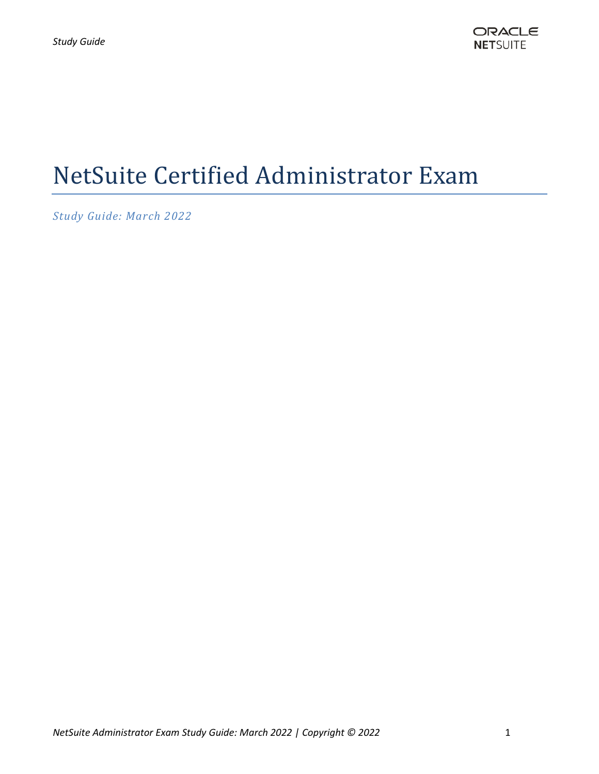# NetSuite Certified Administrator Exam

*Study Guide: March 2022*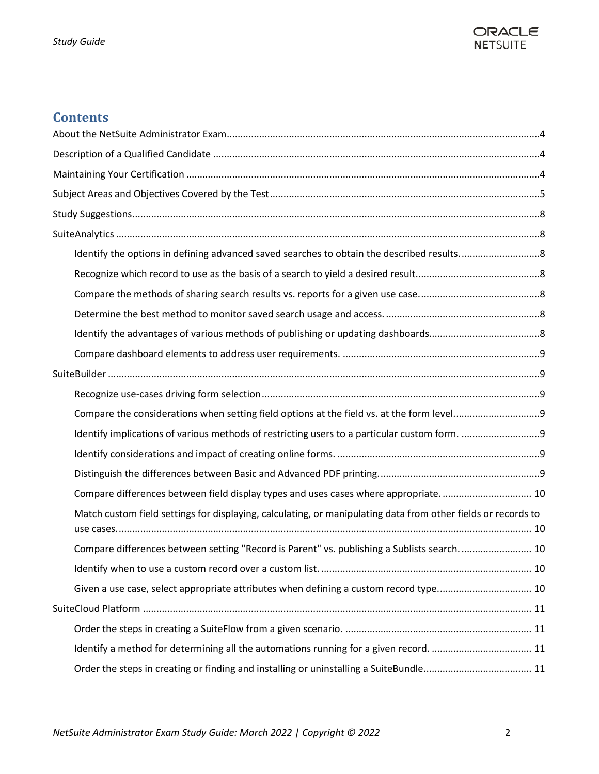

# **Contents**

| Compare differences between field display types and uses cases where appropriate 10                           |  |
|---------------------------------------------------------------------------------------------------------------|--|
| Match custom field settings for displaying, calculating, or manipulating data from other fields or records to |  |
| Compare differences between setting "Record is Parent" vs. publishing a Sublists search.  10                  |  |
|                                                                                                               |  |
| Given a use case, select appropriate attributes when defining a custom record type 10                         |  |
|                                                                                                               |  |
|                                                                                                               |  |
| Identify a method for determining all the automations running for a given record.  11                         |  |
|                                                                                                               |  |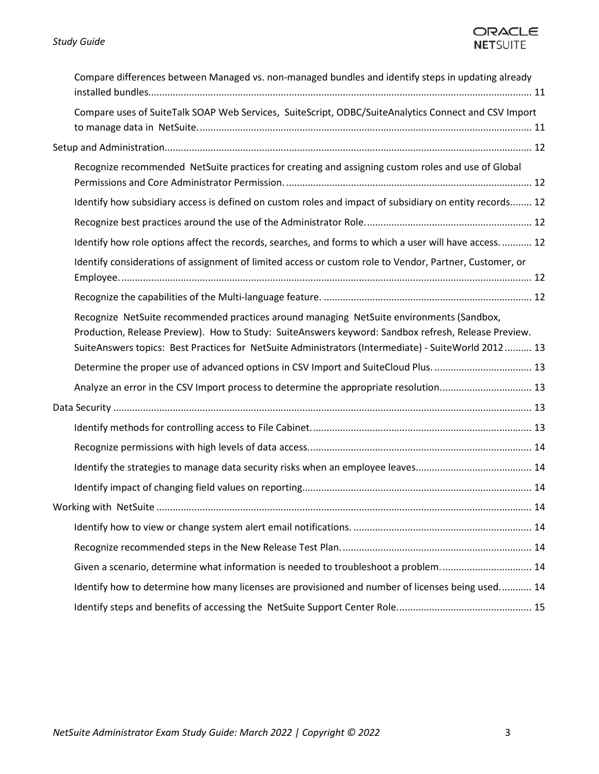# ORACLE **NETSUITE**

| Compare differences between Managed vs. non-managed bundles and identify steps in updating already                                                                                                                                                                                                     |  |
|--------------------------------------------------------------------------------------------------------------------------------------------------------------------------------------------------------------------------------------------------------------------------------------------------------|--|
| Compare uses of SuiteTalk SOAP Web Services, SuiteScript, ODBC/SuiteAnalytics Connect and CSV Import                                                                                                                                                                                                   |  |
|                                                                                                                                                                                                                                                                                                        |  |
| Recognize recommended NetSuite practices for creating and assigning custom roles and use of Global                                                                                                                                                                                                     |  |
| Identify how subsidiary access is defined on custom roles and impact of subsidiary on entity records 12                                                                                                                                                                                                |  |
|                                                                                                                                                                                                                                                                                                        |  |
| Identify how role options affect the records, searches, and forms to which a user will have access 12                                                                                                                                                                                                  |  |
| Identify considerations of assignment of limited access or custom role to Vendor, Partner, Customer, or                                                                                                                                                                                                |  |
|                                                                                                                                                                                                                                                                                                        |  |
| Recognize NetSuite recommended practices around managing NetSuite environments (Sandbox,<br>Production, Release Preview). How to Study: SuiteAnswers keyword: Sandbox refresh, Release Preview.<br>SuiteAnswers topics: Best Practices for NetSuite Administrators (Intermediate) - SuiteWorld 2012 13 |  |
| Determine the proper use of advanced options in CSV Import and SuiteCloud Plus.  13                                                                                                                                                                                                                    |  |
| Analyze an error in the CSV Import process to determine the appropriate resolution 13                                                                                                                                                                                                                  |  |
|                                                                                                                                                                                                                                                                                                        |  |
|                                                                                                                                                                                                                                                                                                        |  |
|                                                                                                                                                                                                                                                                                                        |  |
|                                                                                                                                                                                                                                                                                                        |  |
|                                                                                                                                                                                                                                                                                                        |  |
| . 14                                                                                                                                                                                                                                                                                                   |  |
|                                                                                                                                                                                                                                                                                                        |  |
|                                                                                                                                                                                                                                                                                                        |  |
| Given a scenario, determine what information is needed to troubleshoot a problem 14                                                                                                                                                                                                                    |  |
| Identify how to determine how many licenses are provisioned and number of licenses being used 14                                                                                                                                                                                                       |  |
|                                                                                                                                                                                                                                                                                                        |  |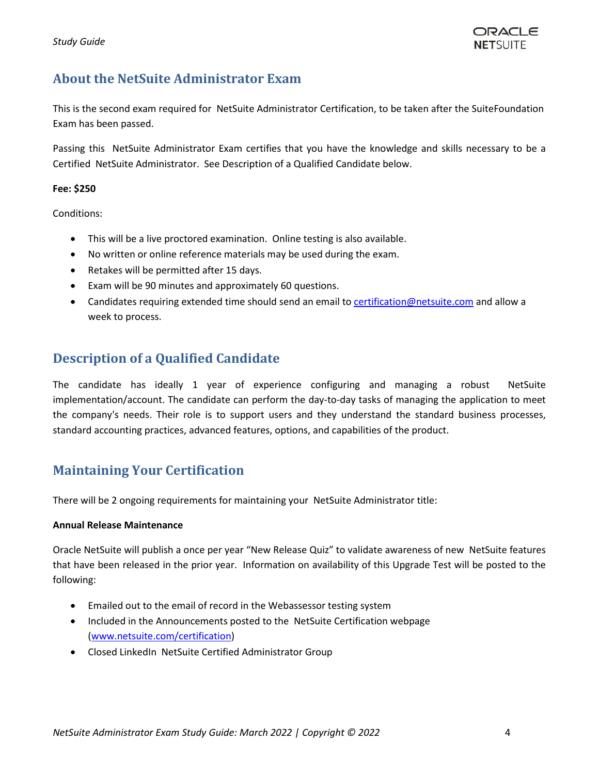

# <span id="page-3-0"></span>**About the NetSuite Administrator Exam**

This is the second exam required for NetSuite Administrator Certification, to be taken after the SuiteFoundation Exam has been passed.

Passing this NetSuite Administrator Exam certifies that you have the knowledge and skills necessary to be a Certified NetSuite Administrator. See Description of a Qualified Candidate below.

#### **Fee: \$250**

Conditions:

- This will be a live proctored examination. Online testing is also available.
- No written or online reference materials may be used during the exam.
- Retakes will be permitted after 15 days.
- Exam will be 90 minutes and approximately 60 questions.
- Candidates requiring extended time should send an email to [certification@netsuite.com](mailto:certification@netsuite.com) and allow a week to process.

# <span id="page-3-1"></span>**Description of a Qualified Candidate**

The candidate has ideally 1 year of experience configuring and managing a robust NetSuite implementation/account. The candidate can perform the day-to-day tasks of managing the application to meet the company's needs. Their role is to support users and they understand the standard business processes, standard accounting practices, advanced features, options, and capabilities of the product.

# <span id="page-3-2"></span>**Maintaining Your Certification**

There will be 2 ongoing requirements for maintaining your NetSuite Administrator title:

## **Annual Release Maintenance**

Oracle NetSuite will publish a once per year "New Release Quiz" to validate awareness of new NetSuite features that have been released in the prior year. Information on availability of this Upgrade Test will be posted to the following:

- Emailed out to the email of record in the Webassessor testing system
- Included in the Announcements posted to the NetSuite Certification webpage [\(www.netsuite.com/certification\)](http://www.netsuite.com/certification)
- Closed LinkedIn NetSuite Certified Administrator Group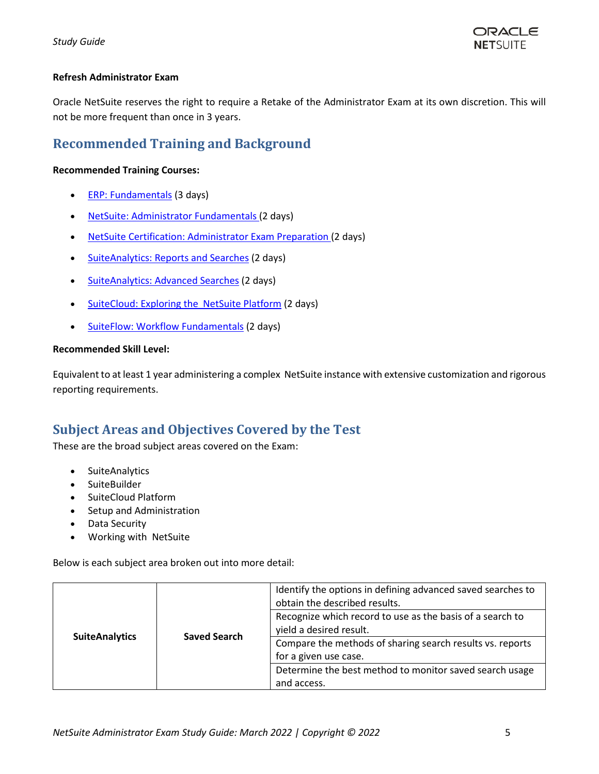

## **Refresh Administrator Exam**

Oracle NetSuite reserves the right to require a Retake of the Administrator Exam at its own discretion. This will not be more frequent than once in 3 years.

# **Recommended Training and Background**

## **Recommended Training Courses:**

- [ERP: Fundamentals](https://www.netsuite.com/portal/services/training/suite-training/description-erp-fundamentals.shtml) (3 days)
- [NetSuite: Administrator Fundamentals](https://www.netsuite.com/portal/services/training/suite-training/description-administrator-fundamentals.shtml) (2 days)
- NetSuite [Certification: Administrator Exam Preparation](https://www.netsuite.com/portal/services/training/description-admin-exam-preparation.shtml) (2 days)
- [SuiteAnalytics: Reports and Searches](http://www.netsuite.com/portal/services/training/description-suite-analytics-reports-and-searches.shtml) (2 days)
- [SuiteAnalytics: Advanced Searches](http://www.netsuite.com/portal/services/training/description-suite-analytics-advanced-searches.shtml) (2 days)
- [SuiteCloud: Exploring the NetSuite](http://www.netsuite.com/portal/services/training/description-suitecloud-exploring-the-netsuite-platform.shtml) Platform (2 days)
- [SuiteFlow: Workflow](http://www.netsuite.com/portal/services/training/description-suiteflow-workflow-fundamentals.shtml) Fundamentals (2 days)

## **Recommended Skill Level:**

Equivalent to at least 1 year administering a complex NetSuite instance with extensive customization and rigorous reporting requirements.

# <span id="page-4-0"></span>**Subject Areas and Objectives Covered by the Test**

These are the broad subject areas covered on the Exam:

- SuiteAnalytics
- SuiteBuilder
- SuiteCloud Platform
- Setup and Administration
- Data Security
- Working with NetSuite

Below is each subject area broken out into more detail:

|                       |                     | Identify the options in defining advanced saved searches to<br>obtain the described results. |
|-----------------------|---------------------|----------------------------------------------------------------------------------------------|
|                       | <b>Saved Search</b> | Recognize which record to use as the basis of a search to<br>yield a desired result.         |
| <b>SuiteAnalytics</b> |                     | Compare the methods of sharing search results vs. reports                                    |
|                       |                     | for a given use case.<br>Determine the best method to monitor saved search usage             |
|                       |                     | and access.                                                                                  |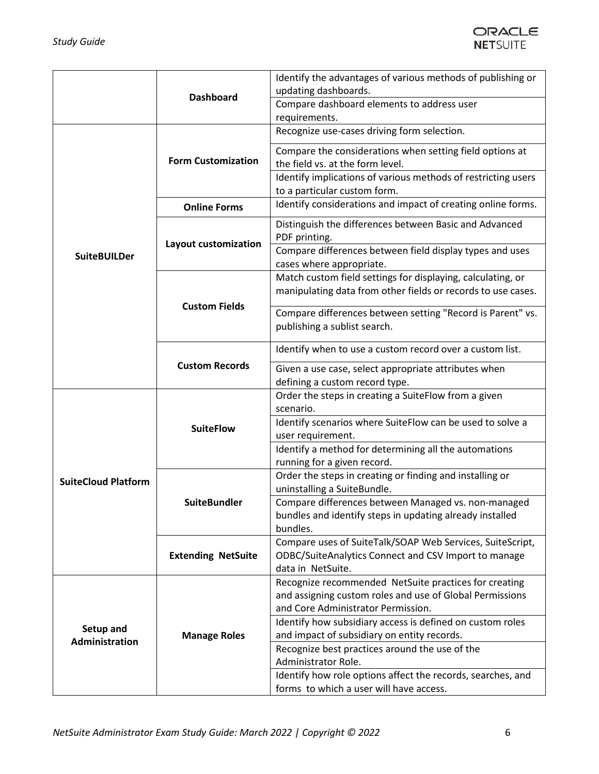

|                            | <b>Dashboard</b>          | Identify the advantages of various methods of publishing or<br>updating dashboards.                                                                     |
|----------------------------|---------------------------|---------------------------------------------------------------------------------------------------------------------------------------------------------|
|                            |                           | Compare dashboard elements to address user<br>requirements.                                                                                             |
|                            |                           | Recognize use-cases driving form selection.                                                                                                             |
|                            | <b>Form Customization</b> | Compare the considerations when setting field options at<br>the field vs. at the form level.                                                            |
|                            |                           | Identify implications of various methods of restricting users<br>to a particular custom form.                                                           |
|                            | <b>Online Forms</b>       | Identify considerations and impact of creating online forms.                                                                                            |
|                            | Layout customization      | Distinguish the differences between Basic and Advanced<br>PDF printing.                                                                                 |
| <b>SuiteBUILDer</b>        |                           | Compare differences between field display types and uses<br>cases where appropriate.                                                                    |
|                            | <b>Custom Fields</b>      | Match custom field settings for displaying, calculating, or<br>manipulating data from other fields or records to use cases.                             |
|                            |                           | Compare differences between setting "Record is Parent" vs.<br>publishing a sublist search.                                                              |
|                            | <b>Custom Records</b>     | Identify when to use a custom record over a custom list.                                                                                                |
|                            |                           | Given a use case, select appropriate attributes when<br>defining a custom record type.                                                                  |
|                            |                           | Order the steps in creating a SuiteFlow from a given                                                                                                    |
|                            |                           | scenario.<br>Identify scenarios where SuiteFlow can be used to solve a                                                                                  |
|                            | <b>SuiteFlow</b>          | user requirement.                                                                                                                                       |
|                            |                           | Identify a method for determining all the automations<br>running for a given record.                                                                    |
| <b>SuiteCloud Platform</b> |                           | Order the steps in creating or finding and installing or<br>uninstalling a SuiteBundle.                                                                 |
|                            | <b>SuiteBundler</b>       | Compare differences between Managed vs. non-managed<br>bundles and identify steps in updating already installed<br>bundles.                             |
|                            | <b>Extending NetSuite</b> | Compare uses of SuiteTalk/SOAP Web Services, SuiteScript,<br>ODBC/SuiteAnalytics Connect and CSV Import to manage<br>data in NetSuite.                  |
|                            | <b>Manage Roles</b>       | Recognize recommended NetSuite practices for creating<br>and assigning custom roles and use of Global Permissions<br>and Core Administrator Permission. |
| Setup and                  |                           | Identify how subsidiary access is defined on custom roles<br>and impact of subsidiary on entity records.                                                |
| <b>Administration</b>      |                           | Recognize best practices around the use of the                                                                                                          |
|                            |                           | Administrator Role.                                                                                                                                     |
|                            |                           | Identify how role options affect the records, searches, and<br>forms to which a user will have access.                                                  |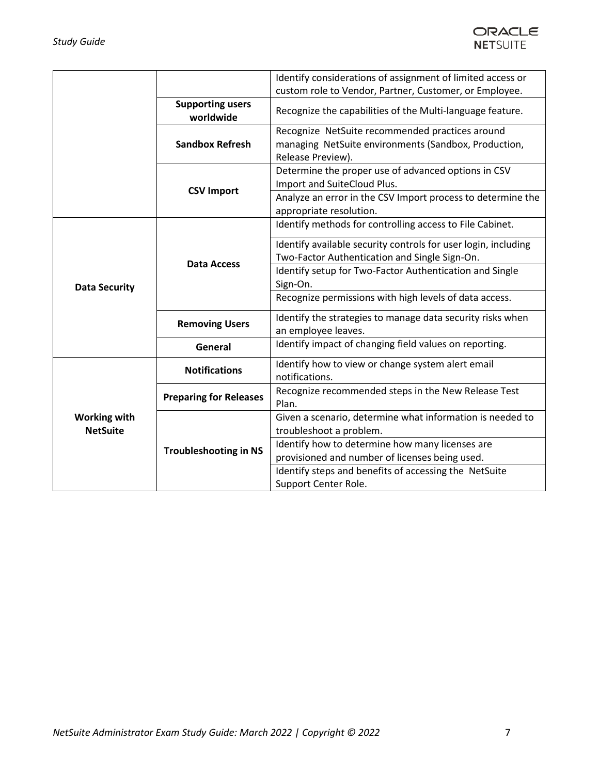

|                                        |                                             | Identify considerations of assignment of limited access or<br>custom role to Vendor, Partner, Customer, or Employee.         |
|----------------------------------------|---------------------------------------------|------------------------------------------------------------------------------------------------------------------------------|
|                                        | <b>Supporting users</b><br>worldwide        | Recognize the capabilities of the Multi-language feature.                                                                    |
|                                        | <b>Sandbox Refresh</b>                      | Recognize NetSuite recommended practices around<br>managing NetSuite environments (Sandbox, Production,<br>Release Preview). |
|                                        | <b>CSV Import</b>                           | Determine the proper use of advanced options in CSV<br>Import and SuiteCloud Plus.                                           |
|                                        |                                             | Analyze an error in the CSV Import process to determine the<br>appropriate resolution.                                       |
|                                        | <b>Data Access</b><br><b>Removing Users</b> | Identify methods for controlling access to File Cabinet.                                                                     |
|                                        |                                             | Identify available security controls for user login, including<br>Two-Factor Authentication and Single Sign-On.              |
| <b>Data Security</b>                   |                                             | Identify setup for Two-Factor Authentication and Single<br>Sign-On.                                                          |
|                                        |                                             | Recognize permissions with high levels of data access.                                                                       |
|                                        |                                             | Identify the strategies to manage data security risks when<br>an employee leaves.                                            |
|                                        | General                                     | Identify impact of changing field values on reporting.                                                                       |
|                                        | <b>Notifications</b>                        | Identify how to view or change system alert email<br>notifications.                                                          |
|                                        | <b>Preparing for Releases</b>               | Recognize recommended steps in the New Release Test<br>Plan.                                                                 |
| <b>Working with</b><br><b>NetSuite</b> | <b>Troubleshooting in NS</b>                | Given a scenario, determine what information is needed to<br>troubleshoot a problem.                                         |
|                                        |                                             | Identify how to determine how many licenses are                                                                              |
|                                        |                                             | provisioned and number of licenses being used.                                                                               |
|                                        |                                             | Identify steps and benefits of accessing the NetSuite                                                                        |
|                                        |                                             | Support Center Role.                                                                                                         |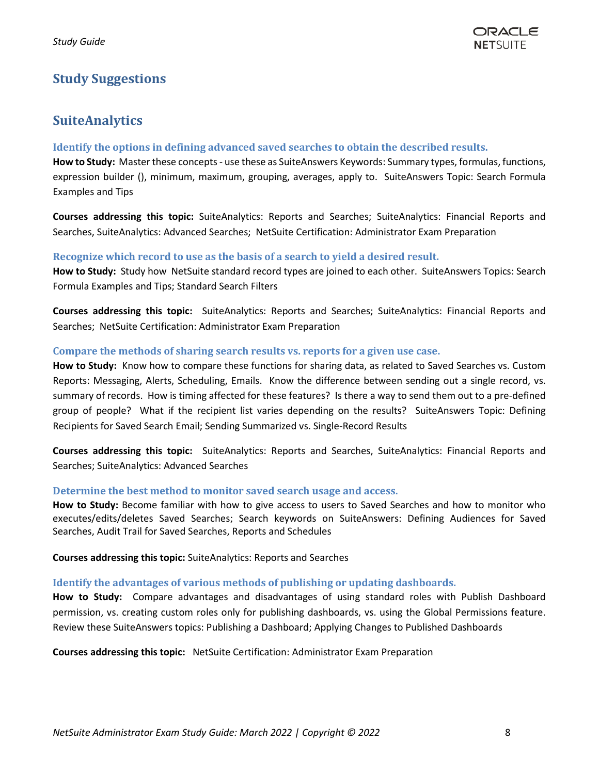# <span id="page-7-1"></span><span id="page-7-0"></span>**Study Suggestions**

# **SuiteAnalytics**

## <span id="page-7-2"></span>**Identify the options in defining advanced saved searches to obtain the described results.**

**How to Study:** Master these concepts- use these as SuiteAnswers Keywords: Summary types, formulas, functions, expression builder (), minimum, maximum, grouping, averages, apply to. SuiteAnswers Topic: Search Formula Examples and Tips

**Courses addressing this topic:** SuiteAnalytics: Reports and Searches; SuiteAnalytics: Financial Reports and Searches, SuiteAnalytics: Advanced Searches; NetSuite Certification: Administrator Exam Preparation

## <span id="page-7-3"></span>**Recognize which record to use as the basis of a search to yield a desired result.**

**How to Study:** Study how NetSuite standard record types are joined to each other. SuiteAnswers Topics: Search Formula Examples and Tips; Standard Search Filters

**Courses addressing this topic:** SuiteAnalytics: Reports and Searches; SuiteAnalytics: Financial Reports and Searches; NetSuite Certification: Administrator Exam Preparation

#### <span id="page-7-4"></span>**Compare the methods of sharing search results vs. reports for a given use case.**

**How to Study:** Know how to compare these functions for sharing data, as related to Saved Searches vs. Custom Reports: Messaging, Alerts, Scheduling, Emails. Know the difference between sending out a single record, vs. summary of records. How is timing affected for these features? Is there a way to send them out to a pre-defined group of people? What if the recipient list varies depending on the results? SuiteAnswers Topic: Defining Recipients for Saved Search Email; Sending Summarized vs. Single-Record Results

**Courses addressing this topic:** SuiteAnalytics: Reports and Searches, SuiteAnalytics: Financial Reports and Searches; SuiteAnalytics: Advanced Searches

## <span id="page-7-5"></span>**Determine the best method to monitor saved search usage and access.**

**How to Study:** Become familiar with how to give access to users to Saved Searches and how to monitor who executes/edits/deletes Saved Searches; Search keywords on SuiteAnswers: Defining Audiences for Saved Searches, Audit Trail for Saved Searches, Reports and Schedules

**Courses addressing this topic:** SuiteAnalytics: Reports and Searches

## <span id="page-7-6"></span>**Identify the advantages of various methods of publishing or updating dashboards.**

**How to Study:** Compare advantages and disadvantages of using standard roles with Publish Dashboard permission, vs. creating custom roles only for publishing dashboards, vs. using the Global Permissions feature. Review these SuiteAnswers topics: Publishing a Dashboard; Applying Changes to Published Dashboards

**Courses addressing this topic:** NetSuite Certification: Administrator Exam Preparation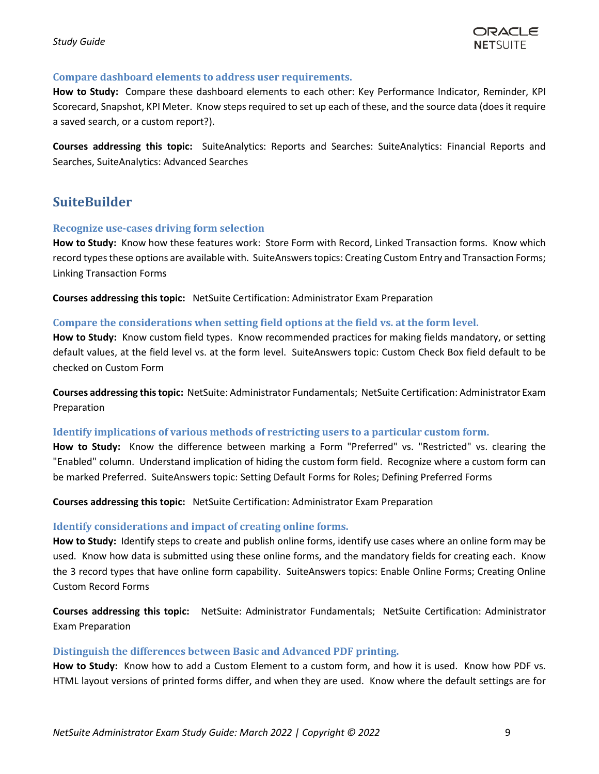## <span id="page-8-0"></span>**Compare dashboard elements to address user requirements.**

**How to Study:** Compare these dashboard elements to each other: Key Performance Indicator, Reminder, KPI Scorecard, Snapshot, KPI Meter. Know steps required to set up each of these, and the source data (does it require a saved search, or a custom report?).

**Courses addressing this topic:** SuiteAnalytics: Reports and Searches: SuiteAnalytics: Financial Reports and Searches, SuiteAnalytics: Advanced Searches

# <span id="page-8-1"></span>**SuiteBuilder**

## <span id="page-8-2"></span>**Recognize use-cases driving form selection**

**How to Study:** Know how these features work: Store Form with Record, Linked Transaction forms. Know which record types these options are available with. SuiteAnswers topics: Creating Custom Entry and Transaction Forms; Linking Transaction Forms

**Courses addressing this topic:** NetSuite Certification: Administrator Exam Preparation

#### <span id="page-8-3"></span>**Compare the considerations when setting field options at the field vs. at the form level.**

**How to Study:** Know custom field types. Know recommended practices for making fields mandatory, or setting default values, at the field level vs. at the form level. SuiteAnswers topic: Custom Check Box field default to be checked on Custom Form

**Courses addressing this topic:** NetSuite: Administrator Fundamentals; NetSuite Certification: Administrator Exam Preparation

#### <span id="page-8-4"></span>**Identify implications of various methods of restricting users to a particular custom form.**

**How to Study:** Know the difference between marking a Form "Preferred" vs. "Restricted" vs. clearing the "Enabled" column. Understand implication of hiding the custom form field. Recognize where a custom form can be marked Preferred. SuiteAnswers topic: Setting Default Forms for Roles; Defining Preferred Forms

**Courses addressing this topic:** NetSuite Certification: Administrator Exam Preparation

## <span id="page-8-5"></span>**Identify considerations and impact of creating online forms.**

**How to Study:** Identify steps to create and publish online forms, identify use cases where an online form may be used. Know how data is submitted using these online forms, and the mandatory fields for creating each. Know the 3 record types that have online form capability. SuiteAnswers topics: Enable Online Forms; Creating Online Custom Record Forms

**Courses addressing this topic:** NetSuite: Administrator Fundamentals; NetSuite Certification: Administrator Exam Preparation

#### <span id="page-8-6"></span>**Distinguish the differences between Basic and Advanced PDF printing.**

**How to Study:** Know how to add a Custom Element to a custom form, and how it is used. Know how PDF vs. HTML layout versions of printed forms differ, and when they are used. Know where the default settings are for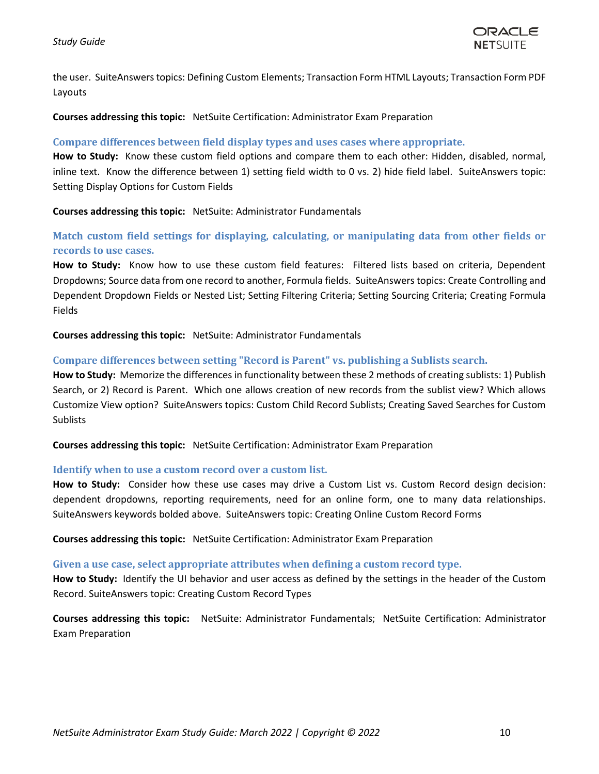the user. SuiteAnswers topics: Defining Custom Elements; Transaction Form HTML Layouts; Transaction Form PDF Layouts

**Courses addressing this topic:** NetSuite Certification: Administrator Exam Preparation

#### <span id="page-9-0"></span>**Compare differences between field display types and uses cases where appropriate.**

**How to Study:** Know these custom field options and compare them to each other: Hidden, disabled, normal, inline text. Know the difference between 1) setting field width to 0 vs. 2) hide field label. SuiteAnswers topic: Setting Display Options for Custom Fields

**Courses addressing this topic:** NetSuite: Administrator Fundamentals

<span id="page-9-1"></span>**Match custom field settings for displaying, calculating, or manipulating data from other fields or records to use cases.**

**How to Study:** Know how to use these custom field features: Filtered lists based on criteria, Dependent Dropdowns; Source data from one record to another, Formula fields. SuiteAnswers topics: Create Controlling and Dependent Dropdown Fields or Nested List; Setting Filtering Criteria; Setting Sourcing Criteria; Creating Formula Fields

**Courses addressing this topic:** NetSuite: Administrator Fundamentals

## <span id="page-9-2"></span>**Compare differences between setting "Record is Parent" vs. publishing a Sublists search.**

**How to Study:** Memorize the differences in functionality between these 2 methods of creating sublists: 1) Publish Search, or 2) Record is Parent. Which one allows creation of new records from the sublist view? Which allows Customize View option? SuiteAnswers topics: Custom Child Record Sublists; Creating Saved Searches for Custom **Sublists** 

**Courses addressing this topic:** NetSuite Certification: Administrator Exam Preparation

#### <span id="page-9-3"></span>**Identify when to use a custom record over a custom list.**

**How to Study:** Consider how these use cases may drive a Custom List vs. Custom Record design decision: dependent dropdowns, reporting requirements, need for an online form, one to many data relationships. SuiteAnswers keywords bolded above. SuiteAnswers topic: Creating Online Custom Record Forms

**Courses addressing this topic:** NetSuite Certification: Administrator Exam Preparation

#### <span id="page-9-4"></span>**Given a use case, select appropriate attributes when defining a custom record type.**

**How to Study:** Identify the UI behavior and user access as defined by the settings in the header of the Custom Record. SuiteAnswers topic: Creating Custom Record Types

**Courses addressing this topic:** NetSuite: Administrator Fundamentals; NetSuite Certification: Administrator Exam Preparation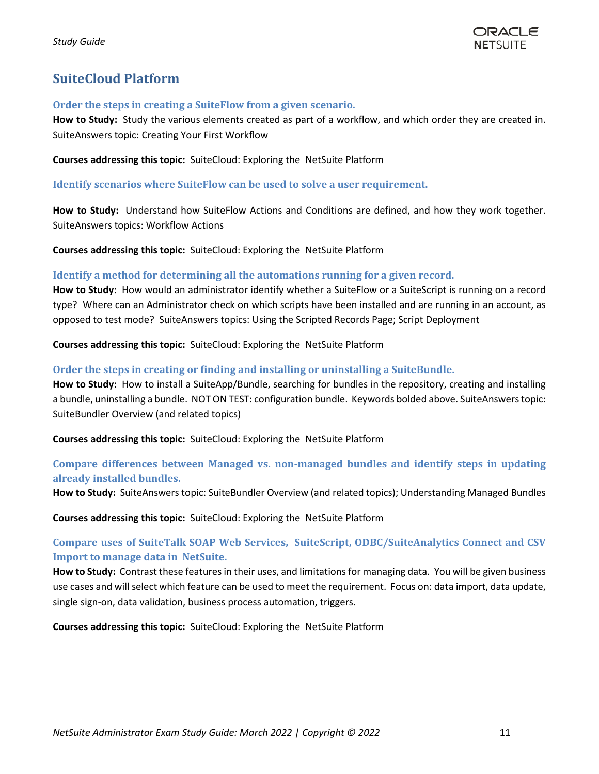

# <span id="page-10-0"></span>**SuiteCloud Platform**

## <span id="page-10-1"></span>**Order the steps in creating a SuiteFlow from a given scenario.**

How to Study: Study the various elements created as part of a workflow, and which order they are created in. SuiteAnswers topic: Creating Your First Workflow

**Courses addressing this topic:** SuiteCloud: Exploring the NetSuite Platform

## **Identify scenarios where SuiteFlow can be used to solve a user requirement.**

**How to Study:** Understand how SuiteFlow Actions and Conditions are defined, and how they work together. SuiteAnswers topics: Workflow Actions

**Courses addressing this topic:** SuiteCloud: Exploring the NetSuite Platform

## <span id="page-10-2"></span>**Identify a method for determining all the automations running for a given record.**

**How to Study:** How would an administrator identify whether a SuiteFlow or a SuiteScript is running on a record type? Where can an Administrator check on which scripts have been installed and are running in an account, as opposed to test mode? SuiteAnswers topics: Using the Scripted Records Page; Script Deployment

**Courses addressing this topic:** SuiteCloud: Exploring the NetSuite Platform

## <span id="page-10-3"></span>**Order the steps in creating or finding and installing or uninstalling a SuiteBundle.**

**How to Study:** How to install a SuiteApp/Bundle, searching for bundles in the repository, creating and installing a bundle, uninstalling a bundle. NOT ON TEST: configuration bundle. Keywords bolded above. SuiteAnswers topic: SuiteBundler Overview (and related topics)

**Courses addressing this topic:** SuiteCloud: Exploring the NetSuite Platform

## <span id="page-10-4"></span>**Compare differences between Managed vs. non-managed bundles and identify steps in updating already installed bundles.**

**How to Study:** SuiteAnswers topic: SuiteBundler Overview (and related topics); Understanding Managed Bundles

**Courses addressing this topic:** SuiteCloud: Exploring the NetSuite Platform

## <span id="page-10-5"></span>**Compare uses of SuiteTalk SOAP Web Services, SuiteScript, ODBC/SuiteAnalytics Connect and CSV Import to manage data in NetSuite.**

**How to Study:** Contrast these features in their uses, and limitations for managing data. You will be given business use cases and will select which feature can be used to meet the requirement. Focus on: data import, data update, single sign-on, data validation, business process automation, triggers.

**Courses addressing this topic:** SuiteCloud: Exploring the NetSuite Platform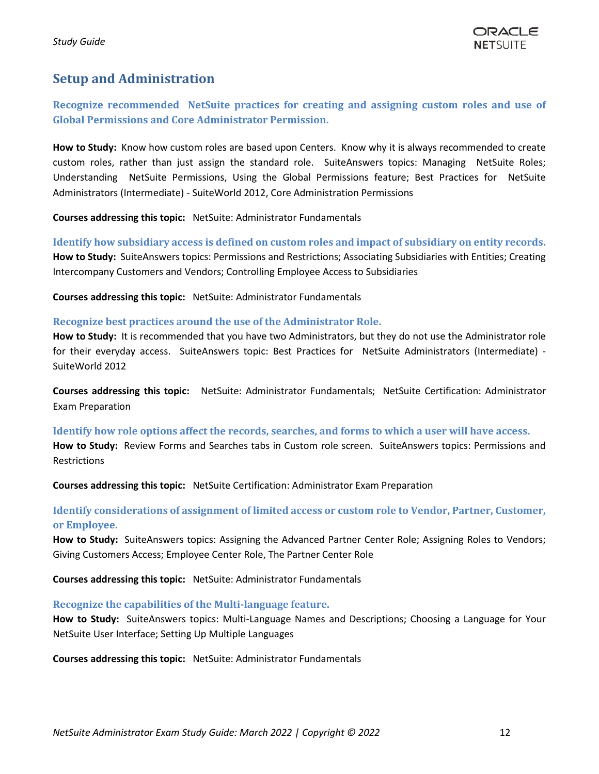# <span id="page-11-0"></span>**Setup and Administration**

<span id="page-11-1"></span>**Recognize recommended NetSuite practices for creating and assigning custom roles and use of Global Permissions and Core Administrator Permission.** 

**How to Study:** Know how custom roles are based upon Centers. Know why it is always recommended to create custom roles, rather than just assign the standard role. SuiteAnswers topics: Managing NetSuite Roles; Understanding NetSuite Permissions, Using the Global Permissions feature; Best Practices for NetSuite Administrators (Intermediate) - SuiteWorld 2012, Core Administration Permissions

**Courses addressing this topic:** NetSuite: Administrator Fundamentals

<span id="page-11-2"></span>**Identify how subsidiary access is defined on custom roles and impact of subsidiary on entity records. How to Study:** SuiteAnswers topics: Permissions and Restrictions; Associating Subsidiaries with Entities; Creating Intercompany Customers and Vendors; Controlling Employee Access to Subsidiaries

**Courses addressing this topic:** NetSuite: Administrator Fundamentals

#### <span id="page-11-3"></span>**Recognize best practices around the use of the Administrator Role.**

**How to Study:** It is recommended that you have two Administrators, but they do not use the Administrator role for their everyday access. SuiteAnswers topic: Best Practices for NetSuite Administrators (Intermediate) - SuiteWorld 2012

**Courses addressing this topic:** NetSuite: Administrator Fundamentals; NetSuite Certification: Administrator Exam Preparation

<span id="page-11-4"></span>**Identify how role options affect the records, searches, and forms to which a user will have access.**

**How to Study:** Review Forms and Searches tabs in Custom role screen. SuiteAnswers topics: Permissions and Restrictions

**Courses addressing this topic:** NetSuite Certification: Administrator Exam Preparation

## <span id="page-11-5"></span>**Identify considerations of assignment of limited access or custom role to Vendor, Partner, Customer, or Employee.**

**How to Study:** SuiteAnswers topics: Assigning the Advanced Partner Center Role; Assigning Roles to Vendors; Giving Customers Access; Employee Center Role, The Partner Center Role

**Courses addressing this topic:** NetSuite: Administrator Fundamentals

## <span id="page-11-6"></span>**Recognize the capabilities of the Multi-language feature.**

**How to Study:** SuiteAnswers topics: Multi-Language Names and Descriptions; Choosing a Language for Your NetSuite User Interface; Setting Up Multiple Languages

**Courses addressing this topic:** NetSuite: Administrator Fundamentals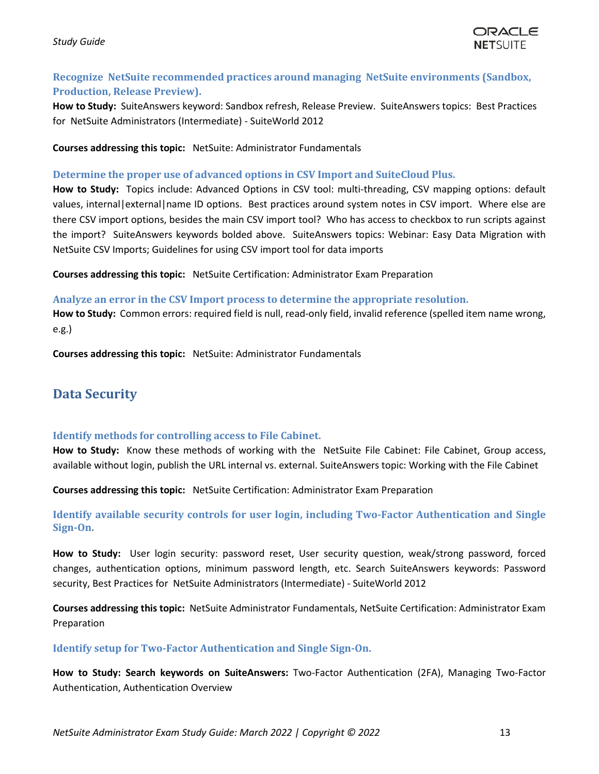

## <span id="page-12-0"></span>**Recognize NetSuite recommended practices around managing NetSuite environments (Sandbox, Production, Release Preview).**

**How to Study:** SuiteAnswers keyword: Sandbox refresh, Release Preview. SuiteAnswers topics: Best Practices for NetSuite Administrators (Intermediate) - SuiteWorld 2012

**Courses addressing this topic:** NetSuite: Administrator Fundamentals

#### <span id="page-12-1"></span>**Determine the proper use of advanced options in CSV Import and SuiteCloud Plus.**

**How to Study:** Topics include: Advanced Options in CSV tool: multi-threading, CSV mapping options: default values, internal|external|name ID options. Best practices around system notes in CSV import. Where else are there CSV import options, besides the main CSV import tool? Who has access to checkbox to run scripts against the import? SuiteAnswers keywords bolded above. SuiteAnswers topics: Webinar: Easy Data Migration with NetSuite CSV Imports; Guidelines for using CSV import tool for data imports

**Courses addressing this topic:** NetSuite Certification: Administrator Exam Preparation

#### <span id="page-12-2"></span>**Analyze an error in the CSV Import process to determine the appropriate resolution.**

**How to Study:** Common errors: required field is null, read-only field, invalid reference (spelled item name wrong, e.g.)

**Courses addressing this topic:** NetSuite: Administrator Fundamentals

# <span id="page-12-3"></span>**Data Security**

## <span id="page-12-4"></span>**Identify methods for controlling access to File Cabinet.**

**How to Study:** Know these methods of working with the NetSuite File Cabinet: File Cabinet, Group access, available without login, publish the URL internal vs. external. SuiteAnswers topic: Working with the File Cabinet

**Courses addressing this topic:** NetSuite Certification: Administrator Exam Preparation

**Identify available security controls for user login, including Two-Factor Authentication and Single Sign-On.**

**How to Study:** User login security: password reset, User security question, weak/strong password, forced changes, authentication options, minimum password length, etc. Search SuiteAnswers keywords: Password security, Best Practices for NetSuite Administrators (Intermediate) - SuiteWorld 2012

**Courses addressing this topic:** NetSuite Administrator Fundamentals, NetSuite Certification: Administrator Exam Preparation

## **Identify setup for Two-Factor Authentication and Single Sign-On.**

**How to Study: Search keywords on SuiteAnswers:** Two-Factor Authentication (2FA), Managing Two-Factor Authentication, Authentication Overview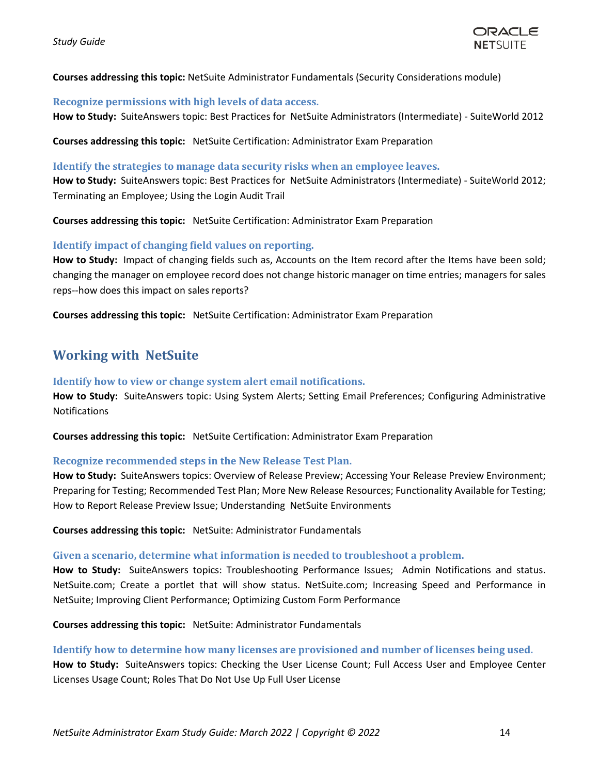

#### **Courses addressing this topic:** NetSuite Administrator Fundamentals (Security Considerations module)

#### <span id="page-13-0"></span>**Recognize permissions with high levels of data access.**

**How to Study:** SuiteAnswers topic: Best Practices for NetSuite Administrators (Intermediate) - SuiteWorld 2012

**Courses addressing this topic:** NetSuite Certification: Administrator Exam Preparation

#### <span id="page-13-1"></span>**Identify the strategies to manage data security risks when an employee leaves.**

**How to Study:** SuiteAnswers topic: Best Practices for NetSuite Administrators (Intermediate) - SuiteWorld 2012; Terminating an Employee; Using the Login Audit Trail

**Courses addressing this topic:** NetSuite Certification: Administrator Exam Preparation

## <span id="page-13-2"></span>**Identify impact of changing field values on reporting.**

How to Study: Impact of changing fields such as, Accounts on the Item record after the Items have been sold; changing the manager on employee record does not change historic manager on time entries; managers for sales reps--how does this impact on sales reports?

**Courses addressing this topic:** NetSuite Certification: Administrator Exam Preparation

# <span id="page-13-3"></span>**Working with NetSuite**

#### <span id="page-13-4"></span>**Identify how to view or change system alert email notifications.**

**How to Study:** SuiteAnswers topic: Using System Alerts; Setting Email Preferences; Configuring Administrative Notifications

**Courses addressing this topic:** NetSuite Certification: Administrator Exam Preparation

## <span id="page-13-5"></span>**Recognize recommended steps in the New Release Test Plan.**

**How to Study:** SuiteAnswers topics: Overview of Release Preview; Accessing Your Release Preview Environment; Preparing for Testing; Recommended Test Plan; More New Release Resources; Functionality Available for Testing; How to Report Release Preview Issue; Understanding NetSuite Environments

**Courses addressing this topic:** NetSuite: Administrator Fundamentals

#### <span id="page-13-6"></span>**Given a scenario, determine what information is needed to troubleshoot a problem.**

**How to Study:** SuiteAnswers topics: Troubleshooting Performance Issues; Admin Notifications and status. NetSuite.com; Create a portlet that will show status. NetSuite.com; Increasing Speed and Performance in NetSuite; Improving Client Performance; Optimizing Custom Form Performance

**Courses addressing this topic:** NetSuite: Administrator Fundamentals

#### <span id="page-13-7"></span>**Identify how to determine how many licenses are provisioned and number of licenses being used.**

**How to Study:** SuiteAnswers topics: Checking the User License Count; Full Access User and Employee Center Licenses Usage Count; Roles That Do Not Use Up Full User License